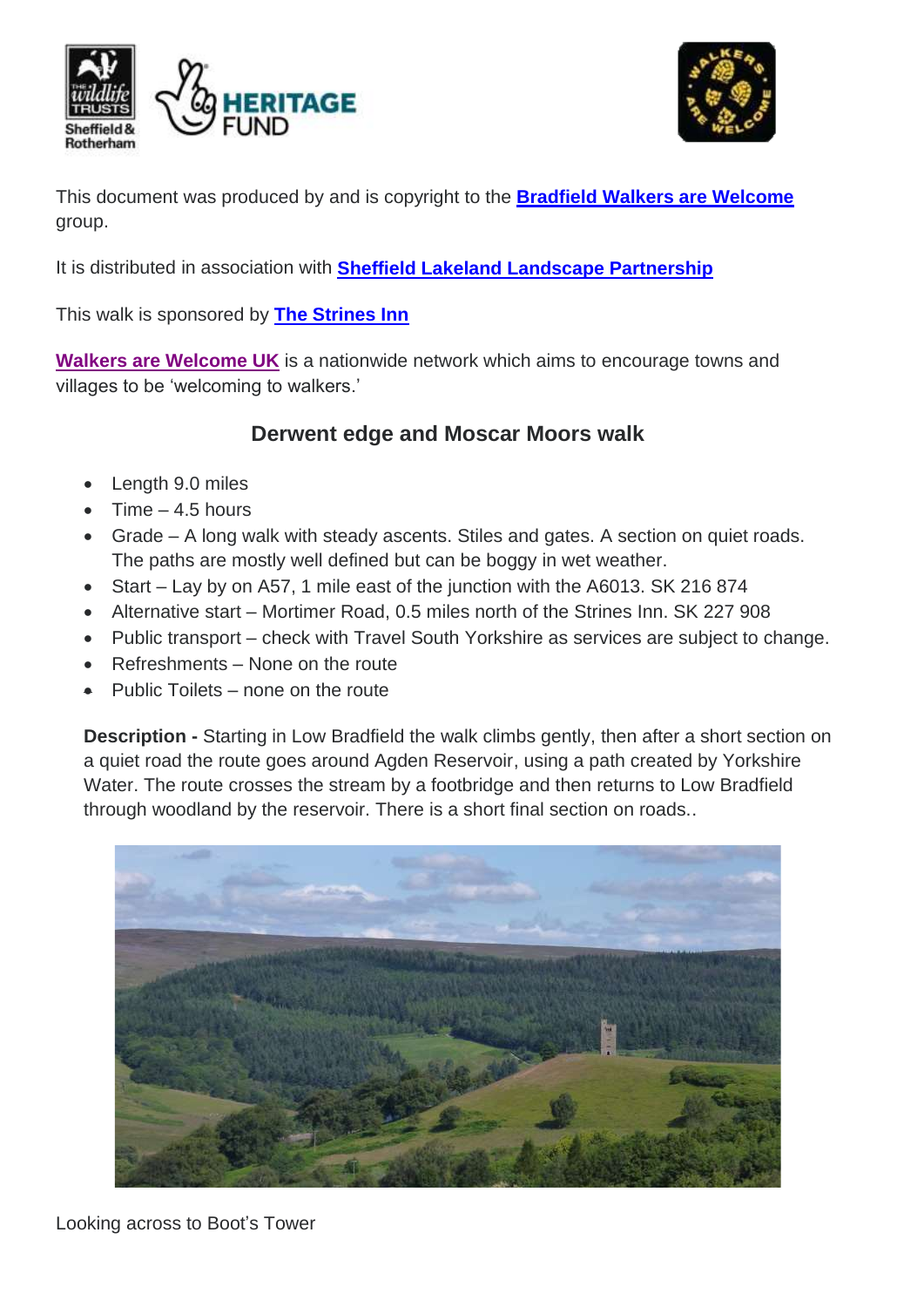



This document was produced by and is copyright to the **Bradfield [Walkers are Welcome](http://www.stocksbridge-walkers.org.uk/index.html)** group.

It is distributed in association with **[Sheffield Lakeland Landscape Partnership](https://www.wildsheffield.com/discover/your-community/sheffield-lakeland-landscape-partnership/)**

This walk is sponsored by **[The Strines Inn](https://thestrinesinn.webs.com/)**

**[Walkers are Welcome UK](http://www.walkersarewelcome.org.uk/)** is a nationwide network which aims to encourage towns and villages to be 'welcoming to walkers.'

### **Derwent edge and Moscar Moors walk**

- Length 9.0 miles
- Time  $-4.5$  hours
- Grade A long walk with steady ascents. Stiles and gates. A section on quiet roads. The paths are mostly well defined but can be boggy in wet weather.
- Start Lay by on A57, 1 mile east of the junction with the A6013. SK 216 874
- Alternative start Mortimer Road, 0.5 miles north of the Strines Inn. SK 227 908
- Public transport check with Travel South Yorkshire as services are subject to change.
- Refreshments None on the route
- Public Toilets none on the route

**Description -** Starting in Low Bradfield the walk climbs gently, then after a short section on a quiet road the route goes around Agden Reservoir, using a path created by Yorkshire Water. The route crosses the stream by a footbridge and then returns to Low Bradfield through woodland by the reservoir. There is a short final section on roads..



Looking across to Boot's Tower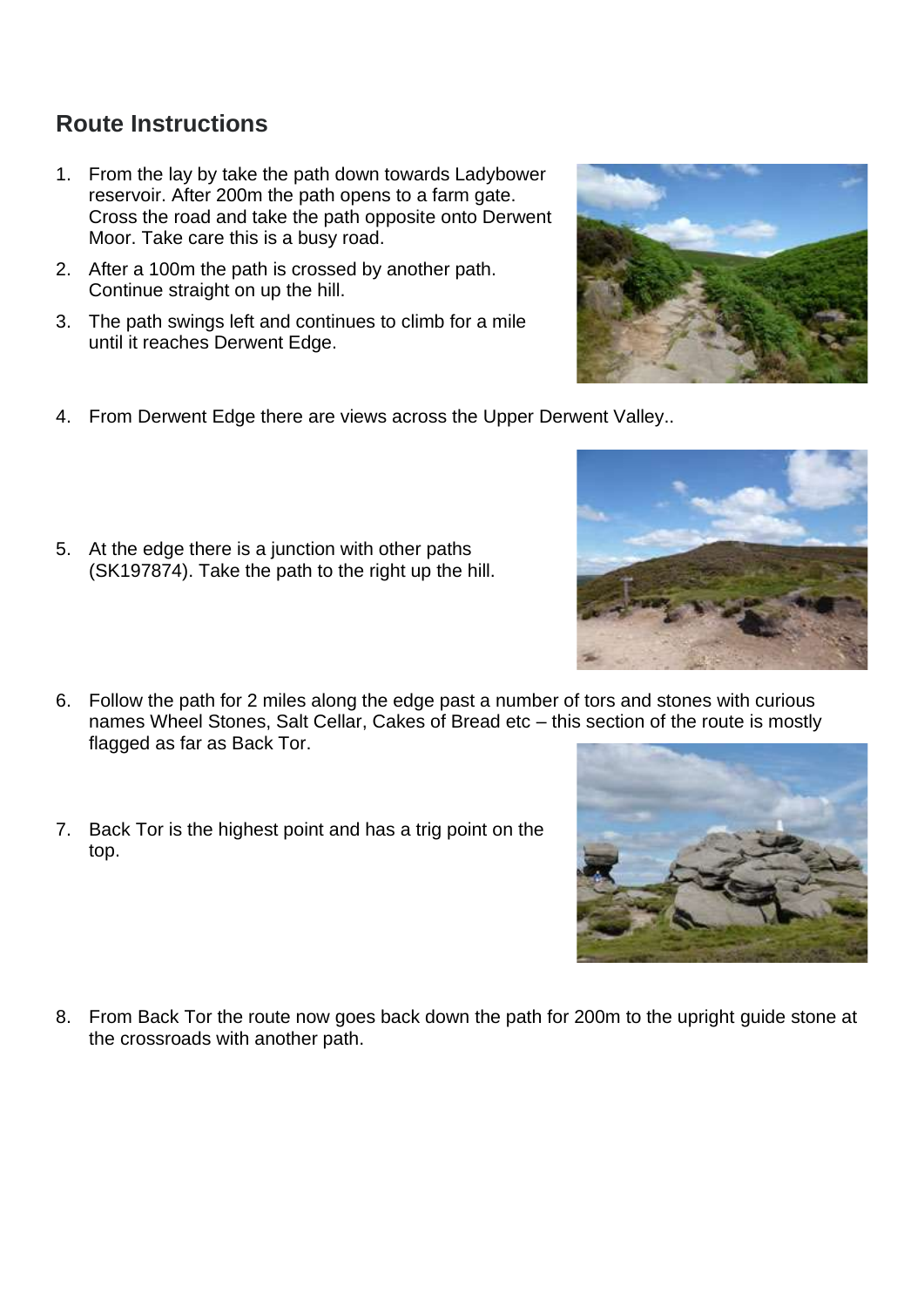## **Route Instructions**

- 1. From the lay by take the path down towards Ladybower reservoir. After 200m the path opens to a farm gate. Cross the road and take the path opposite onto Derwent Moor. Take care this is a busy road.
- 2. After a 100m the path is crossed by another path. Continue straight on up the hill.
- 3. The path swings left and continues to climb for a mile until it reaches Derwent Edge.
- 4. From Derwent Edge there are views across the Upper Derwent Valley..
- 5. At the edge there is a junction with other paths (SK197874). Take the path to the right up the hill.
- 6. Follow the path for 2 miles along the edge past a number of tors and stones with curious names Wheel Stones, Salt Cellar, Cakes of Bread etc – this section of the route is mostly flagged as far as Back Tor.
- 7. Back Tor is the highest point and has a trig point on the top.

8. From Back Tor the route now goes back down the path for 200m to the upright guide stone at the crossroads with another path.





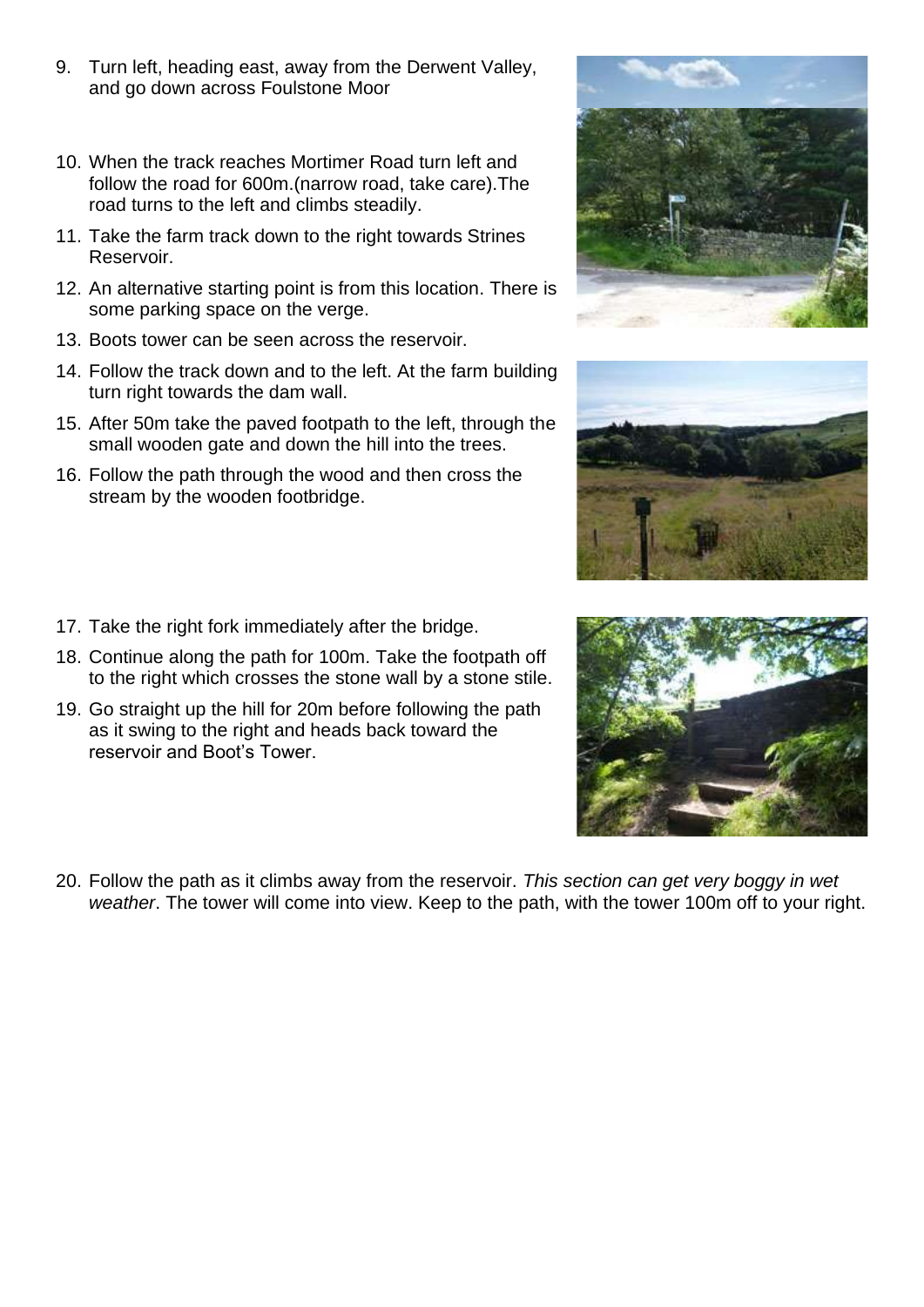- 9. Turn left, heading east, away from the Derwent Valley, and go down across Foulstone Moor
- 10. When the track reaches Mortimer Road turn left and follow the road for 600m.(narrow road, take care).The road turns to the left and climbs steadily.
- 11. Take the farm track down to the right towards Strines Reservoir.
- 12. An alternative starting point is from this location. There is some parking space on the verge.
- 13. Boots tower can be seen across the reservoir.
- 14. Follow the track down and to the left. At the farm building turn right towards the dam wall.
- 15. After 50m take the paved footpath to the left, through the small wooden gate and down the hill into the trees.
- 16. Follow the path through the wood and then cross the stream by the wooden footbridge.
- 17. Take the right fork immediately after the bridge.
- 18. Continue along the path for 100m. Take the footpath off to the right which crosses the stone wall by a stone stile.
- 19. Go straight up the hill for 20m before following the path as it swing to the right and heads back toward the reservoir and Boot's Tower.
- 20. Follow the path as it climbs away from the reservoir. *This section can get very boggy in wet weather*. The tower will come into view. Keep to the path, with the tower 100m off to your right.





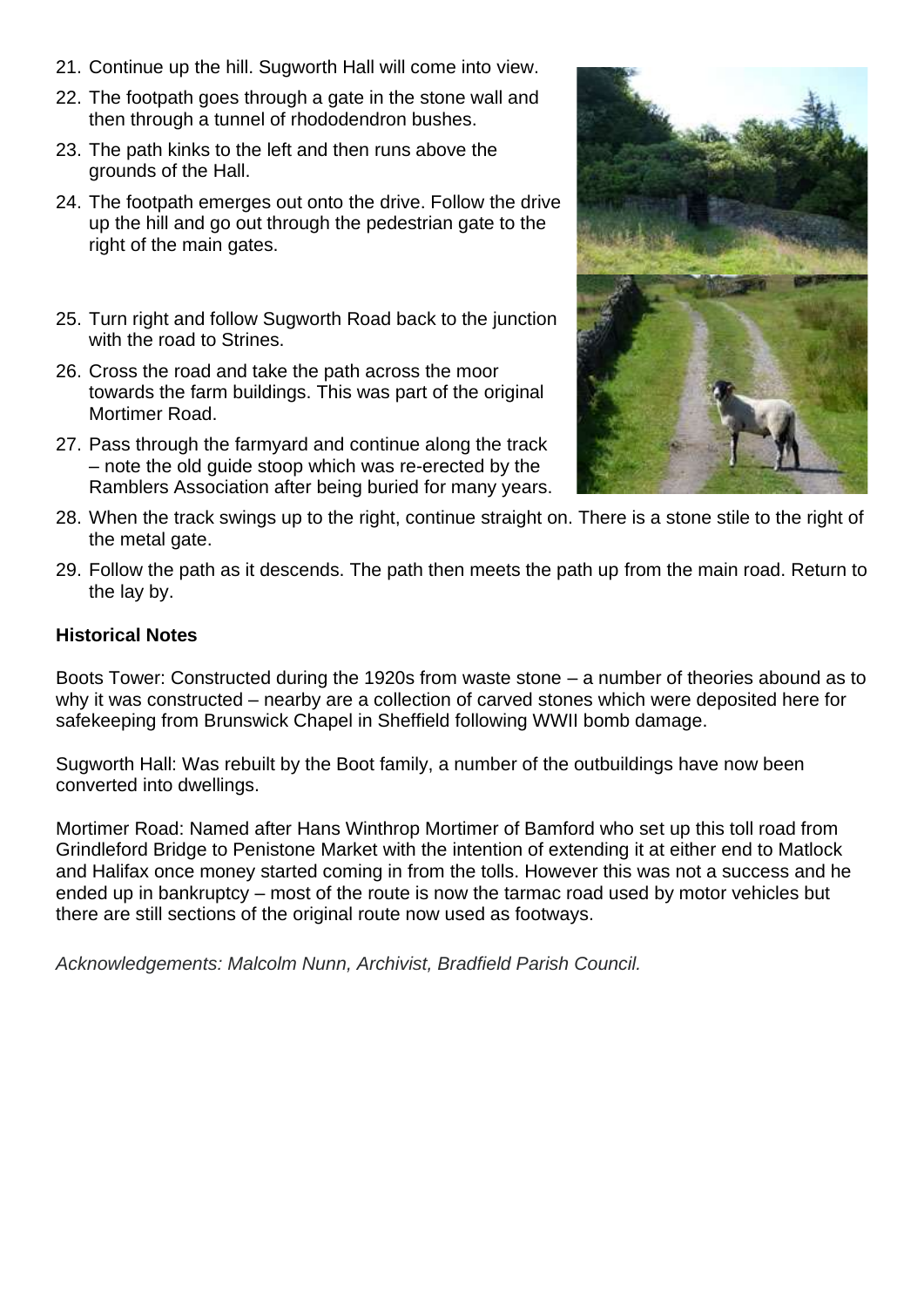- 21. Continue up the hill. Sugworth Hall will come into view.
- 22. The footpath goes through a gate in the stone wall and then through a tunnel of rhododendron bushes.
- 23. The path kinks to the left and then runs above the grounds of the Hall.
- 24. The footpath emerges out onto the drive. Follow the drive up the hill and go out through the pedestrian gate to the right of the main gates.
- 25. Turn right and follow Sugworth Road back to the junction with the road to Strines.
- 26. Cross the road and take the path across the moor towards the farm buildings. This was part of the original Mortimer Road.
- 27. Pass through the farmyard and continue along the track – note the old guide stoop which was re-erected by the Ramblers Association after being buried for many years.



- 28. When the track swings up to the right, continue straight on. There is a stone stile to the right of the metal gate.
- 29. Follow the path as it descends. The path then meets the path up from the main road. Return to the lay by.

#### **Historical Notes**

Boots Tower: Constructed during the 1920s from waste stone – a number of theories abound as to why it was constructed – nearby are a collection of carved stones which were deposited here for safekeeping from Brunswick Chapel in Sheffield following WWII bomb damage.

Sugworth Hall: Was rebuilt by the Boot family, a number of the outbuildings have now been converted into dwellings.

Mortimer Road: Named after Hans Winthrop Mortimer of Bamford who set up this toll road from Grindleford Bridge to Penistone Market with the intention of extending it at either end to Matlock and Halifax once money started coming in from the tolls. However this was not a success and he ended up in bankruptcy – most of the route is now the tarmac road used by motor vehicles but there are still sections of the original route now used as footways.

*Acknowledgements: Malcolm Nunn, Archivist, Bradfield Parish Council.*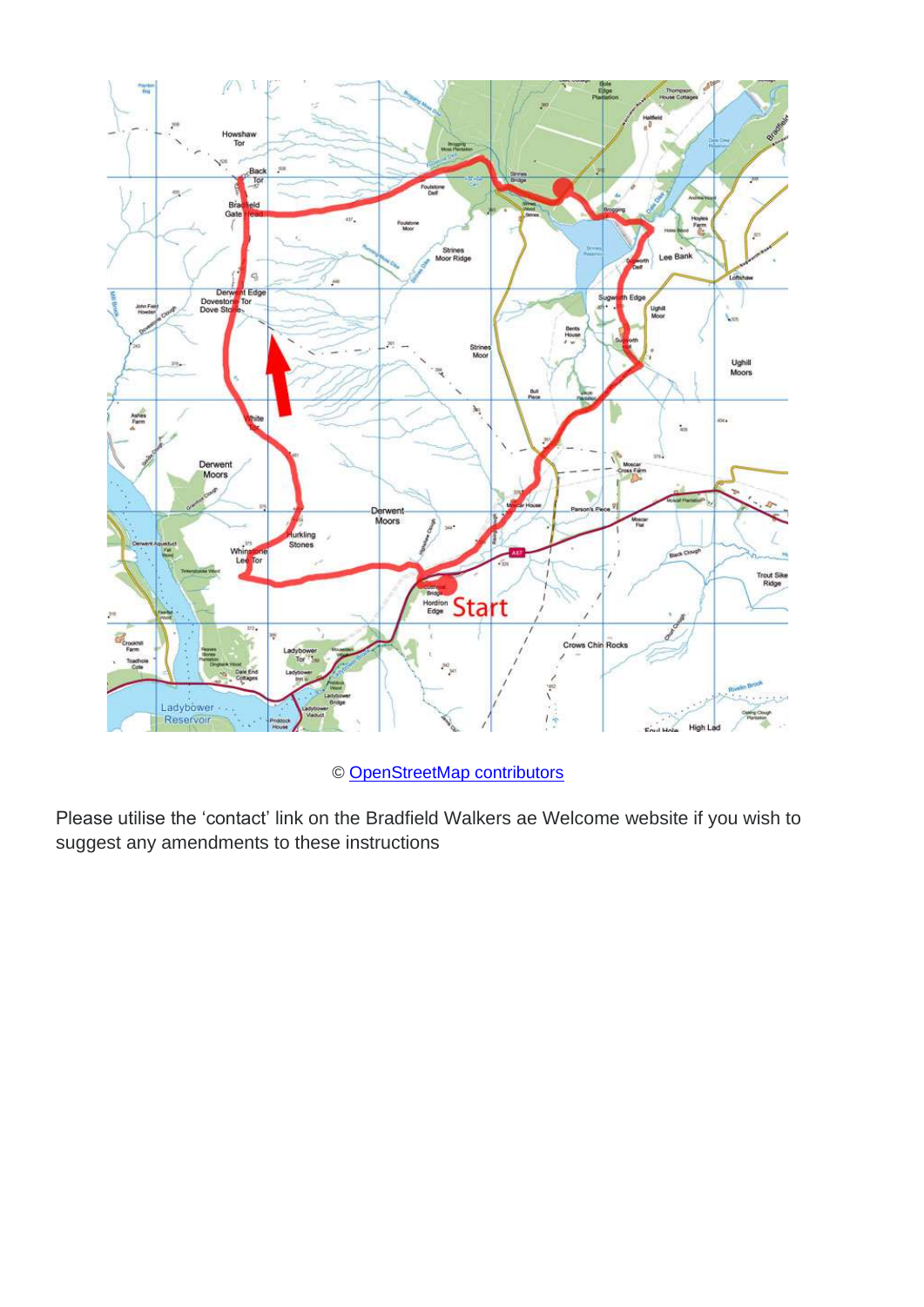

© [OpenStreetMap contributors](http://www.openstreetmap.org/copyright)

Please utilise the 'contact' link on the Bradfield Walkers ae Welcome website if you wish to suggest any amendments to these instructions